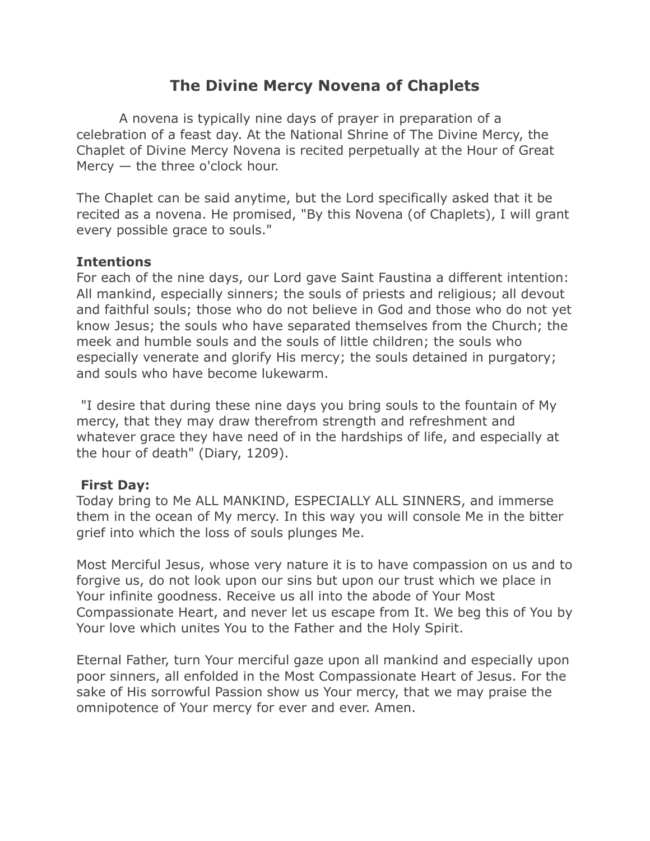# **The Divine Mercy Novena of Chaplets**

 A novena is typically nine days of prayer in preparation of a celebration of a feast day. At the National Shrine of The Divine Mercy, the Chaplet of Divine Mercy Novena is recited perpetually at the Hour of Great Mercy — the three o'clock hour.

The Chaplet can be said anytime, but the Lord specifically asked that it be recited as a novena. He promised, "By this Novena (of Chaplets), I will grant every possible grace to souls."

#### **Intentions**

For each of the nine days, our Lord gave Saint Faustina a different intention: All mankind, especially sinners; the souls of priests and religious; all devout and faithful souls; those who do not believe in God and those who do not yet know Jesus; the souls who have separated themselves from the Church; the meek and humble souls and the souls of little children; the souls who especially venerate and glorify His mercy; the souls detained in purgatory; and souls who have become lukewarm.

 "I desire that during these nine days you bring souls to the fountain of My mercy, that they may draw therefrom strength and refreshment and whatever grace they have need of in the hardships of life, and especially at the hour of death" (Diary, 1209).

#### **First Day:**

Today bring to Me ALL MANKIND, ESPECIALLY ALL SINNERS, and immerse them in the ocean of My mercy. In this way you will console Me in the bitter grief into which the loss of souls plunges Me.

Most Merciful Jesus, whose very nature it is to have compassion on us and to forgive us, do not look upon our sins but upon our trust which we place in Your infinite goodness. Receive us all into the abode of Your Most Compassionate Heart, and never let us escape from It. We beg this of You by Your love which unites You to the Father and the Holy Spirit.

Eternal Father, turn Your merciful gaze upon all mankind and especially upon poor sinners, all enfolded in the Most Compassionate Heart of Jesus. For the sake of His sorrowful Passion show us Your mercy, that we may praise the omnipotence of Your mercy for ever and ever. Amen.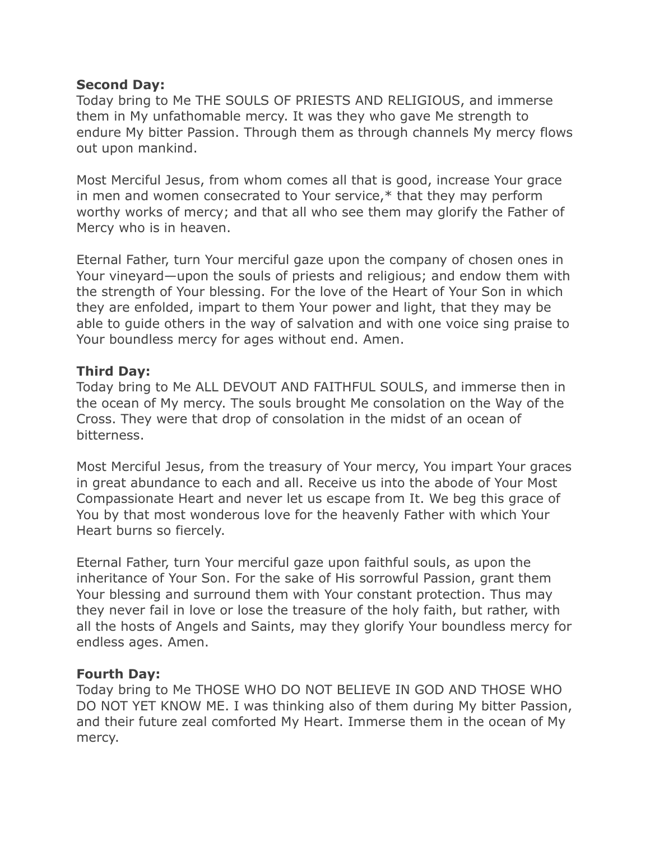#### **Second Day:**

Today bring to Me THE SOULS OF PRIESTS AND RELIGIOUS, and immerse them in My unfathomable mercy. It was they who gave Me strength to endure My bitter Passion. Through them as through channels My mercy flows out upon mankind.

Most Merciful Jesus, from whom comes all that is good, increase Your grace in men and women consecrated to Your service,\* that they may perform worthy works of mercy; and that all who see them may glorify the Father of Mercy who is in heaven.

Eternal Father, turn Your merciful gaze upon the company of chosen ones in Your vineyard—upon the souls of priests and religious; and endow them with the strength of Your blessing. For the love of the Heart of Your Son in which they are enfolded, impart to them Your power and light, that they may be able to guide others in the way of salvation and with one voice sing praise to Your boundless mercy for ages without end. Amen.

## **Third Day:**

Today bring to Me ALL DEVOUT AND FAITHFUL SOULS, and immerse then in the ocean of My mercy. The souls brought Me consolation on the Way of the Cross. They were that drop of consolation in the midst of an ocean of bitterness.

Most Merciful Jesus, from the treasury of Your mercy, You impart Your graces in great abundance to each and all. Receive us into the abode of Your Most Compassionate Heart and never let us escape from It. We beg this grace of You by that most wonderous love for the heavenly Father with which Your Heart burns so fiercely.

Eternal Father, turn Your merciful gaze upon faithful souls, as upon the inheritance of Your Son. For the sake of His sorrowful Passion, grant them Your blessing and surround them with Your constant protection. Thus may they never fail in love or lose the treasure of the holy faith, but rather, with all the hosts of Angels and Saints, may they glorify Your boundless mercy for endless ages. Amen.

#### **Fourth Day:**

Today bring to Me THOSE WHO DO NOT BELIEVE IN GOD AND THOSE WHO DO NOT YET KNOW ME. I was thinking also of them during My bitter Passion, and their future zeal comforted My Heart. Immerse them in the ocean of My mercy.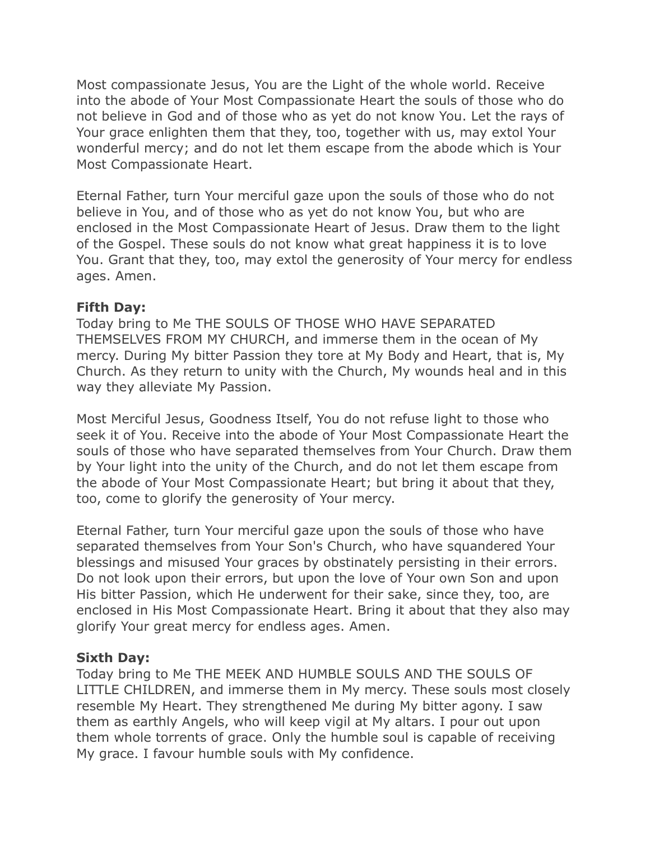Most compassionate Jesus, You are the Light of the whole world. Receive into the abode of Your Most Compassionate Heart the souls of those who do not believe in God and of those who as yet do not know You. Let the rays of Your grace enlighten them that they, too, together with us, may extol Your wonderful mercy; and do not let them escape from the abode which is Your Most Compassionate Heart.

Eternal Father, turn Your merciful gaze upon the souls of those who do not believe in You, and of those who as yet do not know You, but who are enclosed in the Most Compassionate Heart of Jesus. Draw them to the light of the Gospel. These souls do not know what great happiness it is to love You. Grant that they, too, may extol the generosity of Your mercy for endless ages. Amen.

#### **Fifth Day:**

Today bring to Me THE SOULS OF THOSE WHO HAVE SEPARATED THEMSELVES FROM MY CHURCH, and immerse them in the ocean of My mercy. During My bitter Passion they tore at My Body and Heart, that is, My Church. As they return to unity with the Church, My wounds heal and in this way they alleviate My Passion.

Most Merciful Jesus, Goodness Itself, You do not refuse light to those who seek it of You. Receive into the abode of Your Most Compassionate Heart the souls of those who have separated themselves from Your Church. Draw them by Your light into the unity of the Church, and do not let them escape from the abode of Your Most Compassionate Heart; but bring it about that they, too, come to glorify the generosity of Your mercy.

Eternal Father, turn Your merciful gaze upon the souls of those who have separated themselves from Your Son's Church, who have squandered Your blessings and misused Your graces by obstinately persisting in their errors. Do not look upon their errors, but upon the love of Your own Son and upon His bitter Passion, which He underwent for their sake, since they, too, are enclosed in His Most Compassionate Heart. Bring it about that they also may glorify Your great mercy for endless ages. Amen.

#### **Sixth Day:**

Today bring to Me THE MEEK AND HUMBLE SOULS AND THE SOULS OF LITTLE CHILDREN, and immerse them in My mercy. These souls most closely resemble My Heart. They strengthened Me during My bitter agony. I saw them as earthly Angels, who will keep vigil at My altars. I pour out upon them whole torrents of grace. Only the humble soul is capable of receiving My grace. I favour humble souls with My confidence.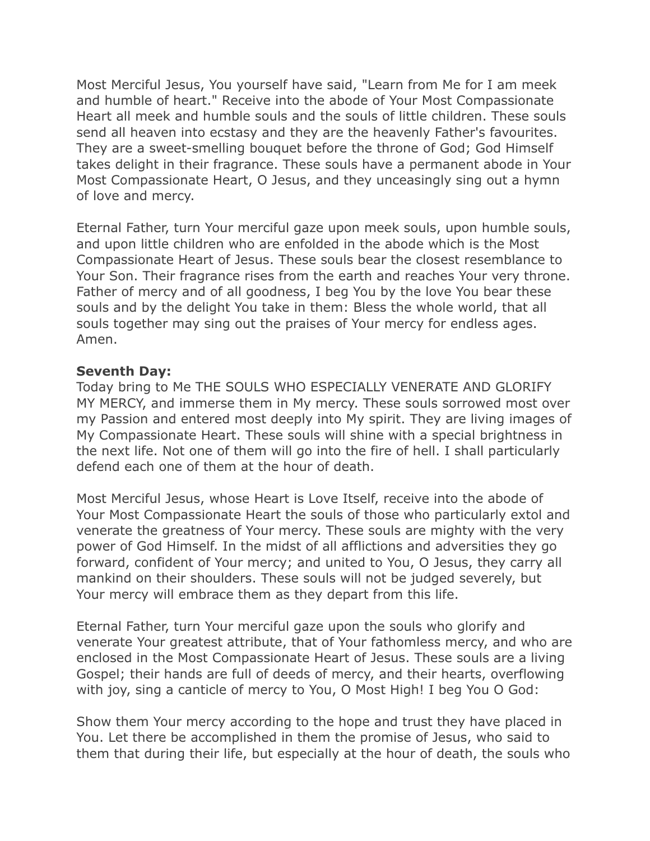Most Merciful Jesus, You yourself have said, "Learn from Me for I am meek and humble of heart." Receive into the abode of Your Most Compassionate Heart all meek and humble souls and the souls of little children. These souls send all heaven into ecstasy and they are the heavenly Father's favourites. They are a sweet-smelling bouquet before the throne of God; God Himself takes delight in their fragrance. These souls have a permanent abode in Your Most Compassionate Heart, O Jesus, and they unceasingly sing out a hymn of love and mercy.

Eternal Father, turn Your merciful gaze upon meek souls, upon humble souls, and upon little children who are enfolded in the abode which is the Most Compassionate Heart of Jesus. These souls bear the closest resemblance to Your Son. Their fragrance rises from the earth and reaches Your very throne. Father of mercy and of all goodness, I beg You by the love You bear these souls and by the delight You take in them: Bless the whole world, that all souls together may sing out the praises of Your mercy for endless ages. Amen.

#### **Seventh Day:**

Today bring to Me THE SOULS WHO ESPECIALLY VENERATE AND GLORIFY MY MERCY, and immerse them in My mercy. These souls sorrowed most over my Passion and entered most deeply into My spirit. They are living images of My Compassionate Heart. These souls will shine with a special brightness in the next life. Not one of them will go into the fire of hell. I shall particularly defend each one of them at the hour of death.

Most Merciful Jesus, whose Heart is Love Itself, receive into the abode of Your Most Compassionate Heart the souls of those who particularly extol and venerate the greatness of Your mercy. These souls are mighty with the very power of God Himself. In the midst of all afflictions and adversities they go forward, confident of Your mercy; and united to You, O Jesus, they carry all mankind on their shoulders. These souls will not be judged severely, but Your mercy will embrace them as they depart from this life.

Eternal Father, turn Your merciful gaze upon the souls who glorify and venerate Your greatest attribute, that of Your fathomless mercy, and who are enclosed in the Most Compassionate Heart of Jesus. These souls are a living Gospel; their hands are full of deeds of mercy, and their hearts, overflowing with joy, sing a canticle of mercy to You, O Most High! I beg You O God:

Show them Your mercy according to the hope and trust they have placed in You. Let there be accomplished in them the promise of Jesus, who said to them that during their life, but especially at the hour of death, the souls who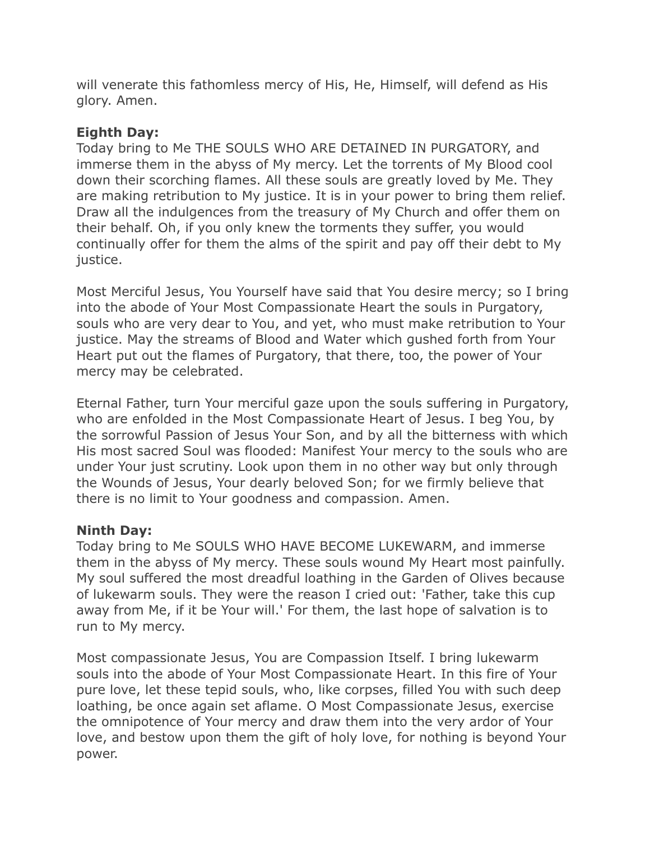will venerate this fathomless mercy of His, He, Himself, will defend as His glory. Amen.

# **Eighth Day:**

Today bring to Me THE SOULS WHO ARE DETAINED IN PURGATORY, and immerse them in the abyss of My mercy. Let the torrents of My Blood cool down their scorching flames. All these souls are greatly loved by Me. They are making retribution to My justice. It is in your power to bring them relief. Draw all the indulgences from the treasury of My Church and offer them on their behalf. Oh, if you only knew the torments they suffer, you would continually offer for them the alms of the spirit and pay off their debt to My justice.

Most Merciful Jesus, You Yourself have said that You desire mercy; so I bring into the abode of Your Most Compassionate Heart the souls in Purgatory, souls who are very dear to You, and yet, who must make retribution to Your justice. May the streams of Blood and Water which gushed forth from Your Heart put out the flames of Purgatory, that there, too, the power of Your mercy may be celebrated.

Eternal Father, turn Your merciful gaze upon the souls suffering in Purgatory, who are enfolded in the Most Compassionate Heart of Jesus. I beg You, by the sorrowful Passion of Jesus Your Son, and by all the bitterness with which His most sacred Soul was flooded: Manifest Your mercy to the souls who are under Your just scrutiny. Look upon them in no other way but only through the Wounds of Jesus, Your dearly beloved Son; for we firmly believe that there is no limit to Your goodness and compassion. Amen.

## **Ninth Day:**

Today bring to Me SOULS WHO HAVE BECOME LUKEWARM, and immerse them in the abyss of My mercy. These souls wound My Heart most painfully. My soul suffered the most dreadful loathing in the Garden of Olives because of lukewarm souls. They were the reason I cried out: 'Father, take this cup away from Me, if it be Your will.' For them, the last hope of salvation is to run to My mercy.

Most compassionate Jesus, You are Compassion Itself. I bring lukewarm souls into the abode of Your Most Compassionate Heart. In this fire of Your pure love, let these tepid souls, who, like corpses, filled You with such deep loathing, be once again set aflame. O Most Compassionate Jesus, exercise the omnipotence of Your mercy and draw them into the very ardor of Your love, and bestow upon them the gift of holy love, for nothing is beyond Your power.